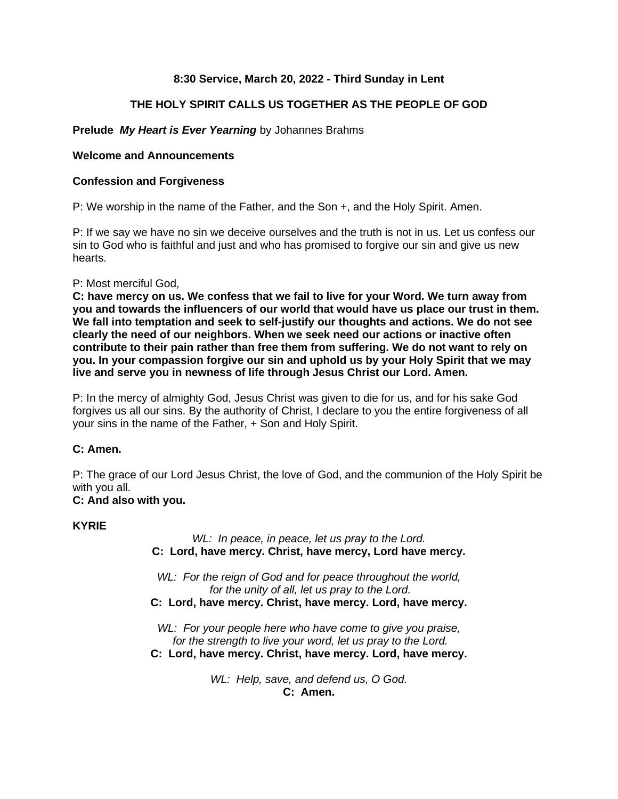# **8:30 Service, March 20, 2022 - Third Sunday in Lent**

# **THE HOLY SPIRIT CALLS US TOGETHER AS THE PEOPLE OF GOD**

# **Prelude** *My Heart is Ever Yearning* by Johannes Brahms

# **Welcome and Announcements**

## **Confession and Forgiveness**

P: We worship in the name of the Father, and the Son +, and the Holy Spirit. Amen.

P: If we say we have no sin we deceive ourselves and the truth is not in us. Let us confess our sin to God who is faithful and just and who has promised to forgive our sin and give us new hearts.

## P: Most merciful God,

**C: have mercy on us. We confess that we fail to live for your Word. We turn away from you and towards the influencers of our world that would have us place our trust in them. We fall into temptation and seek to self-justify our thoughts and actions. We do not see clearly the need of our neighbors. When we seek need our actions or inactive often contribute to their pain rather than free them from suffering. We do not want to rely on you. In your compassion forgive our sin and uphold us by your Holy Spirit that we may live and serve you in newness of life through Jesus Christ our Lord. Amen.**

P: In the mercy of almighty God, Jesus Christ was given to die for us, and for his sake God forgives us all our sins. By the authority of Christ, I declare to you the entire forgiveness of all your sins in the name of the Father, + Son and Holy Spirit.

## **C: Amen.**

P: The grace of our Lord Jesus Christ, the love of God, and the communion of the Holy Spirit be with you all.

# **C: And also with you.**

## **KYRIE**

*WL: In peace, in peace, let us pray to the Lord.* **C: Lord, have mercy. Christ, have mercy, Lord have mercy.**

*WL: For the reign of God and for peace throughout the world, for the unity of all, let us pray to the Lord.* **C: Lord, have mercy. Christ, have mercy. Lord, have mercy.**

*WL: For your people here who have come to give you praise, for the strength to live your word, let us pray to the Lord.* **C: Lord, have mercy. Christ, have mercy. Lord, have mercy.**

> *WL: Help, save, and defend us, O God.* **C: Amen.**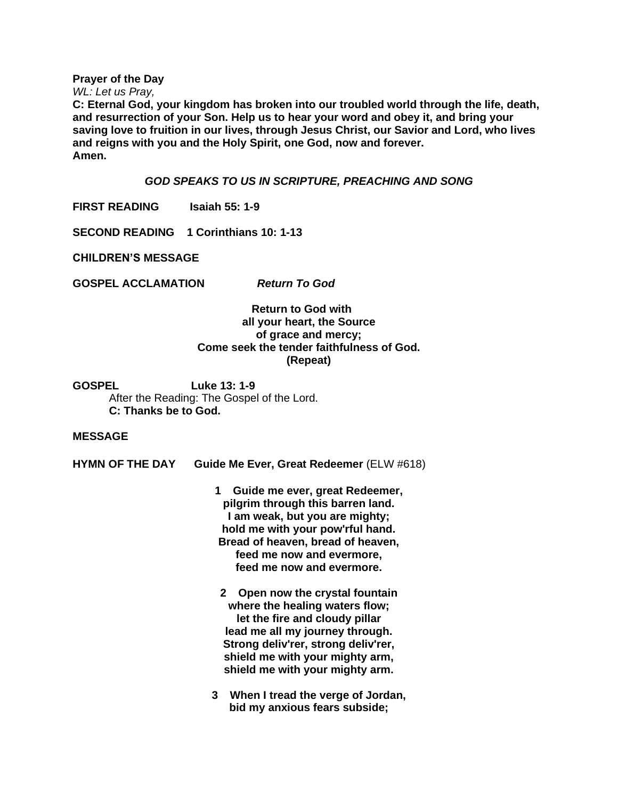**Prayer of the Day**

*WL: Let us Pray,*

**C: Eternal God, your kingdom has broken into our troubled world through the life, death, and resurrection of your Son. Help us to hear your word and obey it, and bring your saving love to fruition in our lives, through Jesus Christ, our Savior and Lord, who lives and reigns with you and the Holy Spirit, one God, now and forever. Amen.**

### *GOD SPEAKS TO US IN SCRIPTURE, PREACHING AND SONG*

**FIRST READING Isaiah 55: 1-9**

**SECOND READING 1 Corinthians 10: 1-13**

**CHILDREN'S MESSAGE**

**GOSPEL ACCLAMATION** *Return To God*

## **Return to God with all your heart, the Source of grace and mercy; Come seek the tender faithfulness of God. (Repeat)**

**GOSPEL Luke 13: 1-9** After the Reading: The Gospel of the Lord. **C: Thanks be to God.**

#### **MESSAGE**

**HYMN OF THE DAY Guide Me Ever, Great Redeemer** (ELW #618)

**1 Guide me ever, great Redeemer, pilgrim through this barren land. I am weak, but you are mighty; hold me with your pow'rful hand. Bread of heaven, bread of heaven, feed me now and evermore, feed me now and evermore.**

- **2 Open now the crystal fountain where the healing waters flow; let the fire and cloudy pillar lead me all my journey through. Strong deliv'rer, strong deliv'rer, shield me with your mighty arm, shield me with your mighty arm.**
- **3 When I tread the verge of Jordan, bid my anxious fears subside;**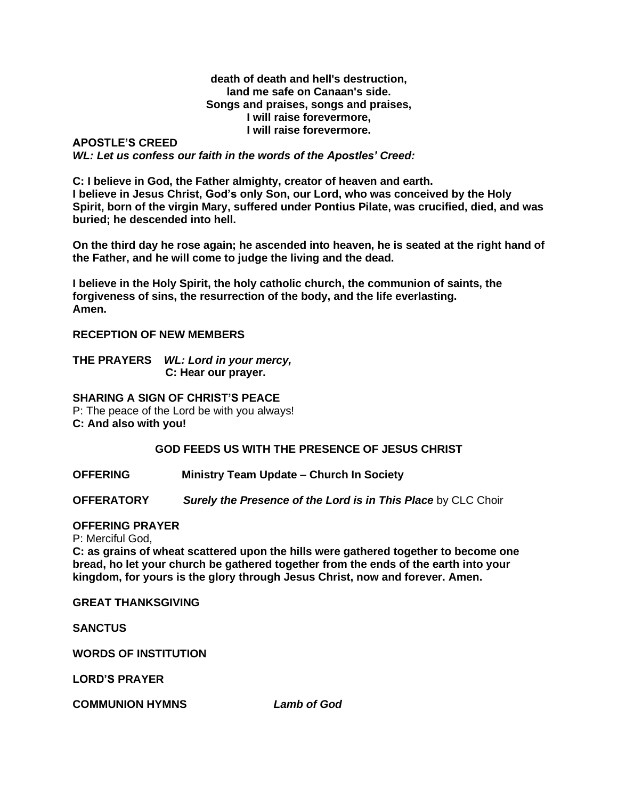#### **death of death and hell's destruction, land me safe on Canaan's side. Songs and praises, songs and praises, I will raise forevermore, I will raise forevermore.**

## **APOSTLE'S CREED** *WL: Let us confess our faith in the words of the Apostles' Creed:*

**C: I believe in God, the Father almighty, creator of heaven and earth. I believe in Jesus Christ, God's only Son, our Lord, who was conceived by the Holy Spirit, born of the virgin Mary, suffered under Pontius Pilate, was crucified, died, and was buried; he descended into hell.**

**On the third day he rose again; he ascended into heaven, he is seated at the right hand of the Father, and he will come to judge the living and the dead.**

**I believe in the Holy Spirit, the holy catholic church, the communion of saints, the forgiveness of sins, the resurrection of the body, and the life everlasting. Amen.**

## **RECEPTION OF NEW MEMBERS**

**THE PRAYERS** *WL: Lord in your mercy,*  **C: Hear our prayer.** 

**SHARING A SIGN OF CHRIST'S PEACE**

P: The peace of the Lord be with you always!

**C: And also with you!**

# **GOD FEEDS US WITH THE PRESENCE OF JESUS CHRIST**

**OFFERING Ministry Team Update – Church In Society**

**OFFERATORY** *Surely the Presence of the Lord is in This Place* by CLC Choir

#### **OFFERING PRAYER**

P: Merciful God,

**C: as grains of wheat scattered upon the hills were gathered together to become one bread, ho let your church be gathered together from the ends of the earth into your kingdom, for yours is the glory through Jesus Christ, now and forever. Amen.**

**GREAT THANKSGIVING**

**SANCTUS**

**WORDS OF INSTITUTION**

**LORD'S PRAYER**

**COMMUNION HYMNS** *Lamb of God*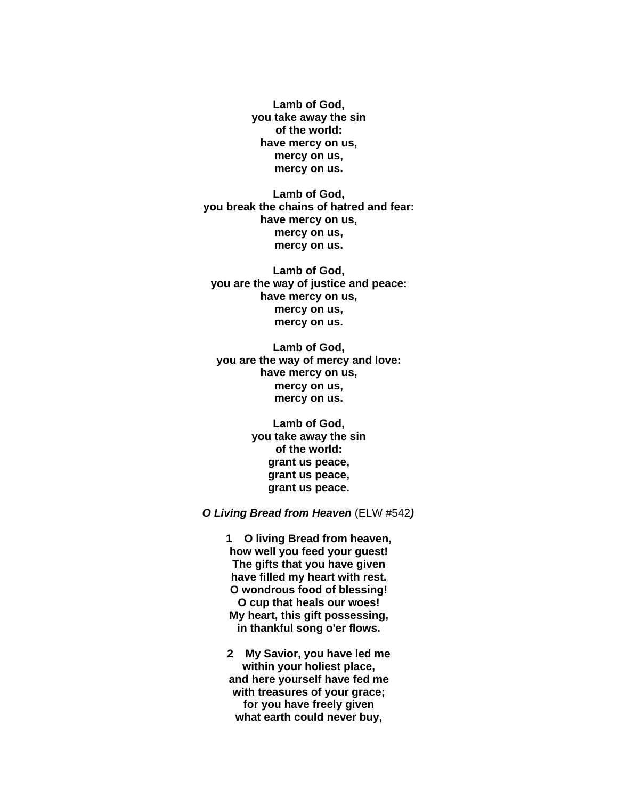**Lamb of God, you take away the sin of the world: have mercy on us, mercy on us, mercy on us.**

**Lamb of God, you break the chains of hatred and fear: have mercy on us, mercy on us, mercy on us.**

**Lamb of God, you are the way of justice and peace: have mercy on us, mercy on us, mercy on us.**

**Lamb of God, you are the way of mercy and love: have mercy on us, mercy on us, mercy on us.**

> **Lamb of God, you take away the sin of the world: grant us peace, grant us peace, grant us peace.**

*O Living Bread from Heaven* (ELW #542*)*

**1 O living Bread from heaven, how well you feed your guest! The gifts that you have given have filled my heart with rest. O wondrous food of blessing! O cup that heals our woes! My heart, this gift possessing, in thankful song o'er flows.**

**2 My Savior, you have led me within your holiest place, and here yourself have fed me with treasures of your grace; for you have freely given what earth could never buy,**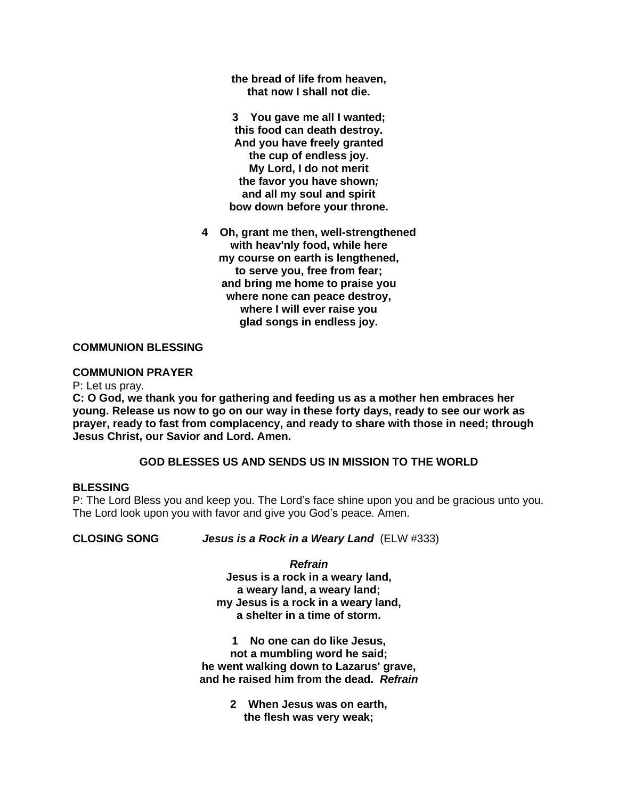**the bread of life from heaven, that now I shall not die.**

**3 You gave me all I wanted; this food can death destroy. And you have freely granted the cup of endless joy. My Lord, I do not merit the favor you have shown***;* **and all my soul and spirit bow down before your throne.**

**4 Oh, grant me then, well-strengthened with heav'nly food, while here my course on earth is lengthened, to serve you, free from fear; and bring me home to praise you where none can peace destroy, where I will ever raise you glad songs in endless joy.**

## **COMMUNION BLESSING**

## **COMMUNION PRAYER**

P: Let us pray.

**C: O God, we thank you for gathering and feeding us as a mother hen embraces her young. Release us now to go on our way in these forty days, ready to see our work as prayer, ready to fast from complacency, and ready to share with those in need; through Jesus Christ, our Savior and Lord. Amen.**

### **GOD BLESSES US AND SENDS US IN MISSION TO THE WORLD**

#### **BLESSING**

P: The Lord Bless you and keep you. The Lord's face shine upon you and be gracious unto you. The Lord look upon you with favor and give you God's peace. Amen.

**CLOSING SONG** *Jesus is a Rock in a Weary Land*(ELW #333)

#### *Refrain*

**Jesus is a rock in a weary land, a weary land, a weary land; my Jesus is a rock in a weary land, a shelter in a time of storm.**

**1 No one can do like Jesus, not a mumbling word he said; he went walking down to Lazarus' grave, and he raised him from the dead.** *Refrain*

> **2 When Jesus was on earth, the flesh was very weak;**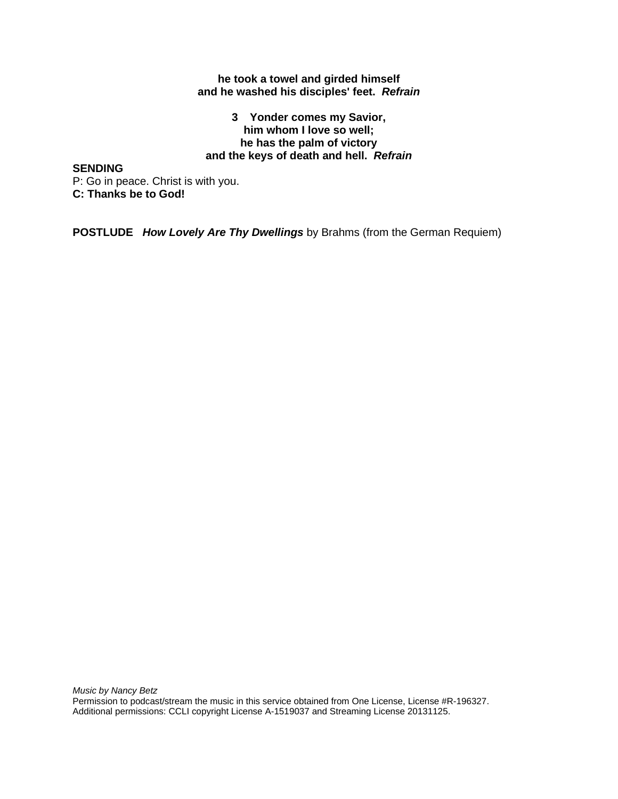### **he took a towel and girded himself and he washed his disciples' feet.** *Refrain*

## **3 Yonder comes my Savior, him whom I love so well; he has the palm of victory and the keys of death and hell.** *Refrain*

**SENDING**

P: Go in peace. Christ is with you. **C: Thanks be to God!**

**POSTLUDE** *How Lovely Are Thy Dwellings* by Brahms (from the German Requiem)